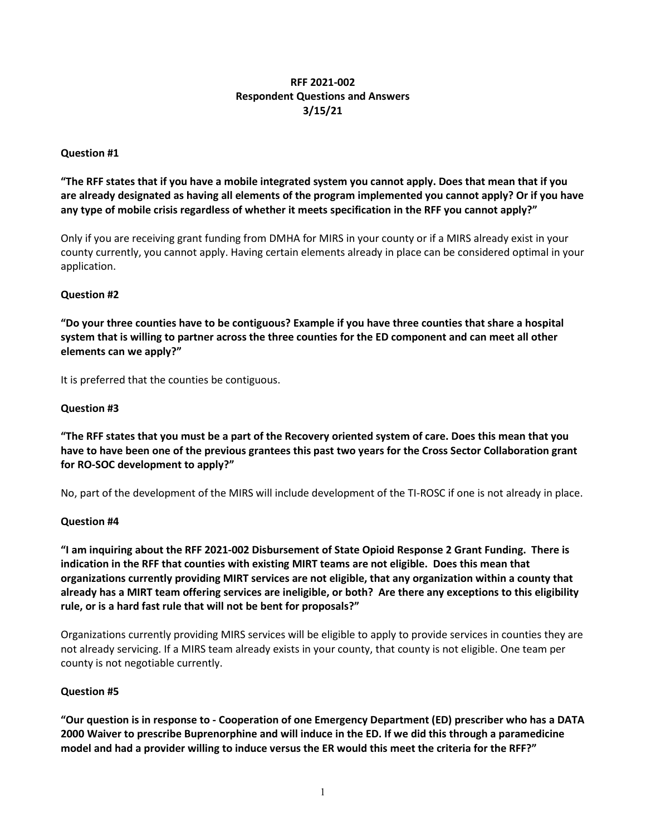## **RFF 2021-002 Respondent Questions and Answers 3/15/21**

#### **Question #1**

 **"The RFF states that if you have a mobile integrated system you cannot apply. Does that mean that if you are already designated as having all elements of the program implemented you cannot apply? Or if you have any type of mobile crisis regardless of whether it meets specification in the RFF you cannot apply?"** 

 Only if you are receiving grant funding from DMHA for MIRS in your county or if a MIRS already exist in your application. county currently, you cannot apply. Having certain elements already in place can be considered optimal in your

#### **Question #2**

 **system that is willing to partner across the three counties for the ED component and can meet all other "Do your three counties have to be contiguous? Example if you have three counties that share a hospital elements can we apply?"** 

It is preferred that the counties be contiguous.

#### **Question #3**

 **"The RFF states that you must be a part of the Recovery oriented system of care. Does this mean that you have to have been one of the previous grantees this past two years for the Cross Sector Collaboration grant for RO-SOC development to apply?"** 

No, part of the development of the MIRS will include development of the TI-ROSC if one is not already in place.

#### **Question #4**

 **"I am inquiring about the RFF 2021-002 Disbursement of State Opioid Response 2 Grant Funding. There is indication in the RFF that counties with existing MIRT teams are not eligible. Does this mean that organizations currently providing MIRT services are not eligible, that any organization within a county that already has a MIRT team offering services are ineligible, or both? Are there any exceptions to this eligibility rule, or is a hard fast rule that will not be bent for proposals?"** 

Organizations currently providing MIRS services will be eligible to apply to provide services in counties they are not already servicing. If a MIRS team already exists in your county, that county is not eligible. One team per county is not negotiable currently.

#### **Question #5**

 **"Our question is in response to - Cooperation of one Emergency Department (ED) prescriber who has a DATA model and had a provider willing to induce versus the ER would this meet the criteria for the RFF?" 2000 Waiver to prescribe Buprenorphine and will induce in the ED. If we did this through a paramedicine**